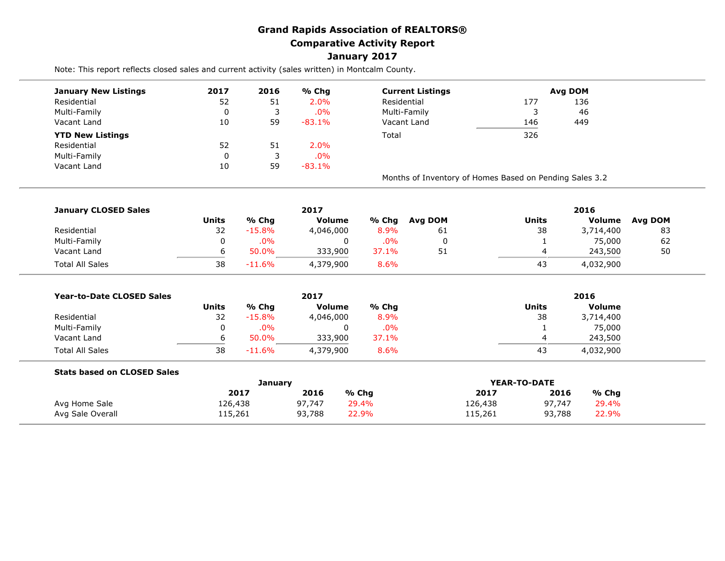## **Grand Rapids Association of REALTORS® Comparative Activity Report January 2017**

Note: This report reflects closed sales and current activity (sales written) in Montcalm County.

| <b>January New Listings</b> | 2017 | 2016 | % Chg     | <b>Current Listings</b>                                 | Avg DOM |     |  |  |
|-----------------------------|------|------|-----------|---------------------------------------------------------|---------|-----|--|--|
| Residential                 | 52   | 51   | 2.0%      | Residential                                             | 177     | 136 |  |  |
| Multi-Family                |      |      | .0%       | Multi-Family                                            |         | 46  |  |  |
| Vacant Land                 | 10   | 59   | $-83.1\%$ | Vacant Land                                             | 146     | 449 |  |  |
| <b>YTD New Listings</b>     |      |      |           | Total                                                   | 326     |     |  |  |
| Residential                 | 52   | 51   | 2.0%      |                                                         |         |     |  |  |
| Multi-Family                |      |      | .0%       |                                                         |         |     |  |  |
| Vacant Land                 | 10   | 59   | $-83.1\%$ |                                                         |         |     |  |  |
|                             |      |      |           | Months of Inventory of Homes Based on Pending Sales 3.2 |         |     |  |  |

| <b>January CLOSED Sales</b> |       |           | 2017          |        |         | 2016  |           |         |  |
|-----------------------------|-------|-----------|---------------|--------|---------|-------|-----------|---------|--|
|                             | Units | % Chg     | <b>Volume</b> | % Chg  | Ava DOM | Units | Volume    | Avg DOM |  |
| Residential                 | 32    | $-15.8%$  | 4,046,000     | 8.9%   | 61      | 38    | 3,714,400 | 83      |  |
| Multi-Family                | 0     | $.0\%$    |               | $.0\%$ |         |       | 75,000    | 62      |  |
| Vacant Land                 | ь     | 50.0%     | 333,900       | 37.1%  | 51      | 4     | 243,500   | 50      |  |
| <b>Total All Sales</b>      | 38    | $-11.6\%$ | 4,379,900     | 8.6%   |         | 43    | 4,032,900 |         |  |

| <b>Year-to-Date CLOSED Sales</b> |              |          | 2017          |        |              | 2016          |  |  |  |
|----------------------------------|--------------|----------|---------------|--------|--------------|---------------|--|--|--|
|                                  | <b>Units</b> | % Chg    | <b>Volume</b> | % Chq  | <b>Units</b> | <b>Volume</b> |  |  |  |
| Residential                      | 32           | $-15.8%$ | 4,046,000     | 8.9%   | 38           | 3,714,400     |  |  |  |
| Multi-Family                     |              | $.0\%$   | 0             | $.0\%$ |              | 75,000        |  |  |  |
| Vacant Land                      |              | 50.0%    | 333,900       | 37.1%  |              | 243,500       |  |  |  |
| <b>Total All Sales</b>           | 38           | $-11.6%$ | 4,379,900     | 8.6%   | 43           | 4,032,900     |  |  |  |

| <b>Stats based on CLOSED Sales</b> |         |        |       |         |              |       |
|------------------------------------|---------|--------|-------|---------|--------------|-------|
|                                    | January |        |       |         | YEAR-TO-DATE |       |
|                                    | 2017    | 2016   | % Chq | 2017    | 2016         | % Chg |
| Avg Home Sale                      | 126,438 | 97,747 | 29.4% | 126,438 | 97.747       | 29.4% |
| Avg Sale Overall                   | 115,261 | 93,788 | 22.9% | 115,261 | 93,788       | 22.9% |
|                                    |         |        |       |         |              |       |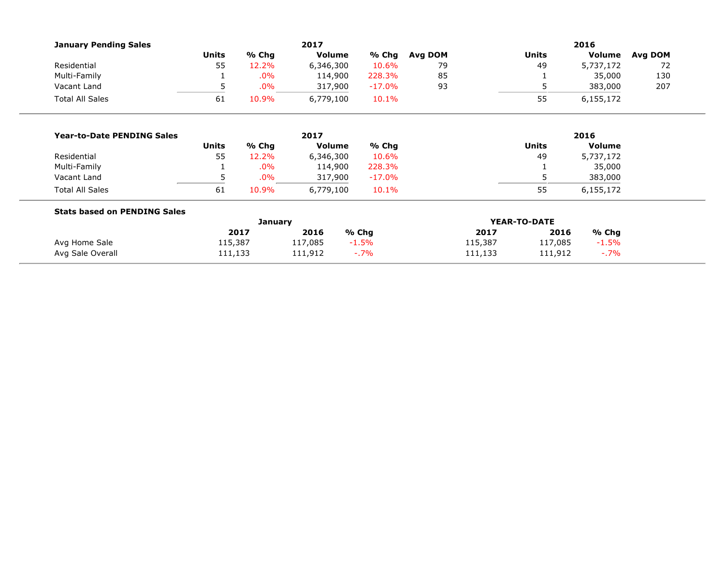| <b>January Pending Sales</b>        | 2017         |        |               |           | 2016    |              |              |               |         |  |
|-------------------------------------|--------------|--------|---------------|-----------|---------|--------------|--------------|---------------|---------|--|
|                                     | <b>Units</b> | % Chg  | <b>Volume</b> | % Chg     | Avg DOM |              | <b>Units</b> | Volume        | Avg DOM |  |
| Residential                         | 55           | 12.2%  | 6,346,300     | 10.6%     | 79      |              | 49           | 5,737,172     | 72      |  |
| Multi-Family                        | 1            | .0%    | 114,900       | 228.3%    | 85      |              |              | 35,000        | 130     |  |
| Vacant Land                         | 5            | $.0\%$ | 317,900       | $-17.0\%$ | 93      |              | 5            | 383,000       | 207     |  |
| <b>Total All Sales</b>              | 61           | 10.9%  | 6,779,100     | 10.1%     |         |              | 55           | 6,155,172     |         |  |
|                                     |              |        |               |           |         |              |              |               |         |  |
| <b>Year-to-Date PENDING Sales</b>   |              | 2017   |               |           | 2016    |              |              |               |         |  |
|                                     | <b>Units</b> | % Chg  | <b>Volume</b> | % Chg     |         |              | <b>Units</b> | <b>Volume</b> |         |  |
| Residential                         | 55           | 12.2%  | 6,346,300     | 10.6%     |         |              | 49           | 5,737,172     |         |  |
| Multi-Family                        |              | $.0\%$ | 114,900       | 228.3%    |         |              |              | 35,000        |         |  |
| Vacant Land                         | 5            | .0%    | 317,900       | $-17.0\%$ |         |              |              | 383,000       |         |  |
| <b>Total All Sales</b>              | 61           | 10.9%  | 6,779,100     | 10.1%     |         |              | 55           | 6,155,172     |         |  |
| <b>Stats based on PENDING Sales</b> |              |        |               |           |         |              |              |               |         |  |
|                                     | January      |        |               |           |         | YEAR-TO-DATE |              |               |         |  |
|                                     |              | 2017   | 2016          | % Chg     |         | 2017         | 2016         | % Chg         |         |  |
| Avg Home Sale                       | 115,387      |        | 117,085       | $-1.5\%$  |         | 115,387      | 117,085      | $-1.5%$       |         |  |
| Avg Sale Overall                    | 111,133      |        | 111,912       | $-7\%$    |         | 111,133      | 111,912      | $-7\%$        |         |  |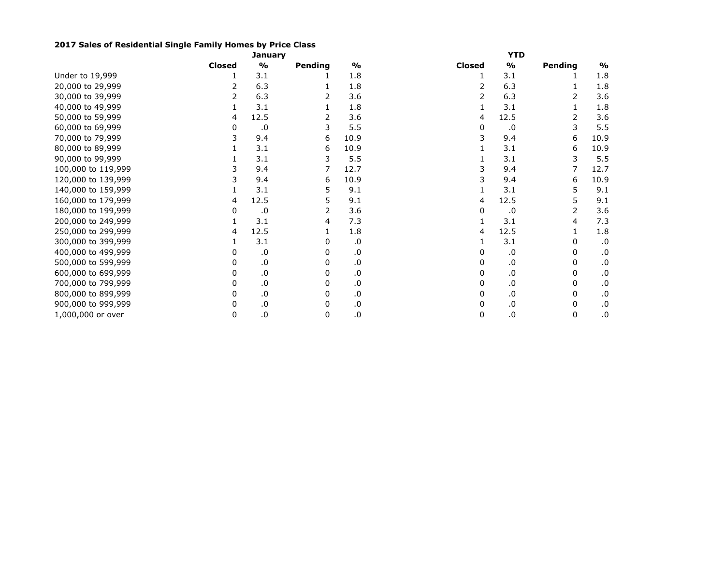## **2017 Sales of Residential Single Family Homes by Price Class**

|                    | January       |               |         |               | YTD           |               |         |               |  |
|--------------------|---------------|---------------|---------|---------------|---------------|---------------|---------|---------------|--|
|                    | <b>Closed</b> | $\frac{1}{2}$ | Pending | $\frac{9}{6}$ | <b>Closed</b> | $\frac{1}{2}$ | Pending | $\frac{1}{2}$ |  |
| Under to 19,999    |               | 3.1           |         | 1.8           |               | 3.1           |         | 1.8           |  |
| 20,000 to 29,999   |               | 6.3           |         | 1.8           |               | 6.3           |         | 1.8           |  |
| 30,000 to 39,999   |               | 6.3           | 2       | 3.6           |               | 6.3           | 2       | 3.6           |  |
| 40,000 to 49,999   |               | 3.1           |         | 1.8           |               | 3.1           |         | 1.8           |  |
| 50,000 to 59,999   | 4             | 12.5          | 2       | 3.6           | 4             | 12.5          | 2       | 3.6           |  |
| 60,000 to 69,999   | 0             | .0            | 3       | 5.5           | 0             | .0            | 3       | 5.5           |  |
| 70,000 to 79,999   |               | 9.4           | 6       | 10.9          |               | 9.4           | 6       | 10.9          |  |
| 80,000 to 89,999   |               | 3.1           | 6       | 10.9          |               | 3.1           | 6       | 10.9          |  |
| 90,000 to 99,999   |               | 3.1           | 3       | 5.5           |               | 3.1           |         | 5.5           |  |
| 100,000 to 119,999 |               | 9.4           | 7       | 12.7          |               | 9.4           |         | 12.7          |  |
| 120,000 to 139,999 |               | 9.4           | 6       | 10.9          |               | 9.4           | 6       | 10.9          |  |
| 140,000 to 159,999 |               | 3.1           | 5       | 9.1           |               | 3.1           | 5       | 9.1           |  |
| 160,000 to 179,999 | 4             | 12.5          | 5       | 9.1           | 4             | 12.5          | 5       | 9.1           |  |
| 180,000 to 199,999 | 0             | .0            | 2       | 3.6           | 0             | .0            | 2       | 3.6           |  |
| 200,000 to 249,999 |               | 3.1           | 4       | 7.3           |               | 3.1           | 4       | 7.3           |  |
| 250,000 to 299,999 | 4             | 12.5          |         | 1.8           | 4             | 12.5          |         | 1.8           |  |
| 300,000 to 399,999 |               | 3.1           | 0       | .0            |               | 3.1           | 0       | .0            |  |
| 400,000 to 499,999 |               | .0            | 0       | .0            |               | .0            | 0       | .0            |  |
| 500,000 to 599,999 |               | .0            |         | .0            |               | .0            | 0       | .0            |  |
| 600,000 to 699,999 |               | .0            | 0       | .0            |               | .0            | 0       | .0            |  |
| 700,000 to 799,999 |               | .0            | 0       | .0            | 0             | .0            | 0       | .0            |  |
| 800,000 to 899,999 | 0             | .0            | 0       | .0            | 0             | .0            | 0       | .0            |  |
| 900,000 to 999,999 | 0             | .0            |         | .0            | 0             | .0            | 0       | .0            |  |
| 1,000,000 or over  | 0             | ${\bf .0}$    | 0       | .0            | 0             | .0            | 0       | .0            |  |